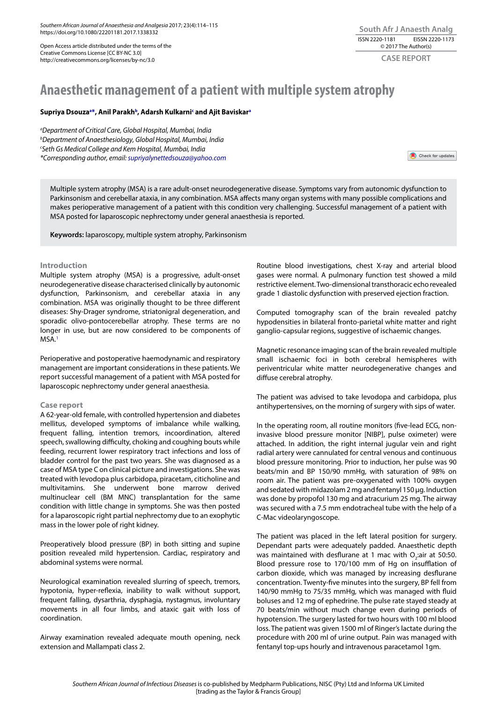*Southern African Journal of Anaesthesia and Analgesia* 2017; 23(4):114–115 https://doi.org/10.1080/22201181.2017.1338332

Open Access article distributed under the terms of the Creative Commons License [CC BY-NC 3.0] http://creativecommons.org/licenses/by-nc/3.0

# **South Afr J Anaesth Analg** ISSN 2220-1181 EISSN 2220-1173 © 2017 The Author(s)

**CASE REPORT**

# **Anaesthetic management of a patient with multiple system atrophy**

## **Supriya Dsouzaa \*, Anil Parakhb, Adarsh Kulkarnic and Ajit Baviskara**

*a Department of Critical Care, Global Hospital, Mumbai, India b Department of Anaesthesiology, Global Hospital, Mumbai, India c Seth Gs Medical College and Kem Hospital, Mumbai, India \*Corresponding author, email: supriyalynettedsouza@yahoo.com* 

Check for updates

Multiple system atrophy (MSA) is a rare adult-onset neurodegenerative disease. Symptoms vary from autonomic dysfunction to Parkinsonism and cerebellar ataxia, in any combination. MSA affects many organ systems with many possible complications and makes perioperative management of a patient with this condition very challenging. Successful management of a patient with MSA posted for laparoscopic nephrectomy under general anaesthesia is reported.

**Keywords:** laparoscopy, multiple system atrophy, Parkinsonism

#### **Introduction**

Multiple system atrophy (MSA) is a progressive, adult-onset neurodegenerative disease characterised clinically by autonomic dysfunction, Parkinsonism, and cerebellar ataxia in any combination. MSA was originally thought to be three different diseases: Shy-Drager syndrome, striatonigral degeneration, and sporadic olivo-pontocerebellar atrophy. These terms are no longer in use, but are now considered to be components of MSA.<sup>1</sup>

Perioperative and postoperative haemodynamic and respiratory management are important considerations in these patients. We report successful management of a patient with MSA posted for laparoscopic nephrectomy under general anaesthesia.

#### **Case report**

A 62-year-old female, with controlled hypertension and diabetes mellitus, developed symptoms of imbalance while walking, frequent falling, intention tremors, incoordination, altered speech, swallowing difficulty, choking and coughing bouts while feeding, recurrent lower respiratory tract infections and loss of bladder control for the past two years. She was diagnosed as a case of MSA type C on clinical picture and investigations. She was treated with levodopa plus carbidopa, piracetam, citicholine and multivitamins. She underwent bone marrow derived multinuclear cell (BM MNC) transplantation for the same condition with little change in symptoms. She was then posted for a laparoscopic right partial nephrectomy due to an exophytic mass in the lower pole of right kidney.

Preoperatively blood pressure (BP) in both sitting and supine position revealed mild hypertension. Cardiac, respiratory and abdominal systems were normal.

Neurological examination revealed slurring of speech, tremors, hypotonia, hyper-reflexia, inability to walk without support, frequent falling, dysarthria, dysphagia, nystagmus, involuntary movements in all four limbs, and ataxic gait with loss of coordination.

Airway examination revealed adequate mouth opening, neck extension and Mallampati class 2.

Routine blood investigations, chest X-ray and arterial blood gases were normal. A pulmonary function test showed a mild restrictive element. Two-dimensional transthoracic echo revealed grade 1 diastolic dysfunction with preserved ejection fraction.

Computed tomography scan of the brain revealed patchy hypodensities in bilateral fronto-parietal white matter and right ganglio-capsular regions, suggestive of ischaemic changes.

Magnetic resonance imaging scan of the brain revealed multiple small ischaemic foci in both cerebral hemispheres with periventricular white matter neurodegenerative changes and diffuse cerebral atrophy.

The patient was advised to take levodopa and carbidopa, plus antihypertensives, on the morning of surgery with sips of water.

In the operating room, all routine monitors (five-lead ECG, noninvasive blood pressure monitor [NIBP], pulse oximeter) were attached. In addition, the right internal jugular vein and right radial artery were cannulated for central venous and continuous blood pressure monitoring. Prior to induction, her pulse was 90 beats/min and BP 150/90 mmHg, with saturation of 98% on room air. The patient was pre-oxygenated with 100% oxygen and sedated with midazolam 2 mg and fentanyl 150 μg. Induction was done by propofol 130 mg and atracurium 25 mg. The airway was secured with a 7.5 mm endotracheal tube with the help of a C-Mac videolaryngoscope.

The patient was placed in the left lateral position for surgery. Dependant parts were adequately padded. Anaesthetic depth was maintained with desflurane at 1 mac with  $O_2$ :air at 50:50. Blood pressure rose to 170/100 mm of Hg on insufflation of carbon dioxide, which was managed by increasing desflurane concentration. Twenty-five minutes into the surgery, BP fell from 140/90 mmHg to 75/35 mmHg, which was managed with fluid boluses and 12 mg of ephedrine. The pulse rate stayed steady at 70 beats/min without much change even during periods of hypotension. The surgery lasted for two hours with 100 ml blood loss. The patient was given 1500 ml of Ringer's lactate during the procedure with 200 ml of urine output. Pain was managed with fentanyl top-ups hourly and intravenous paracetamol 1gm.